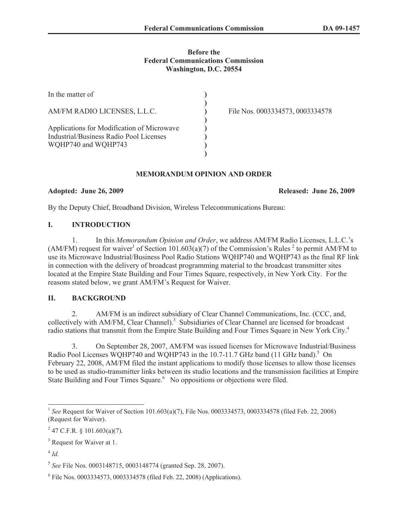#### **Before the Federal Communications Commission Washington, D.C. 20554**

| In the matter of                                                                                             |                                  |
|--------------------------------------------------------------------------------------------------------------|----------------------------------|
| AM/FM RADIO LICENSES, L.L.C.                                                                                 | File Nos. 0003334573, 0003334578 |
| Applications for Modification of Microwave<br>Industrial/Business Radio Pool Licenses<br>WQHP740 and WQHP743 |                                  |

### **MEMORANDUM OPINION AND ORDER**

### **Adopted: June 26, 2009 Released: June 26, 2009**

By the Deputy Chief, Broadband Division, Wireless Telecommunications Bureau:

# **I. INTRODUCTION**

1. In this *Memorandum Opinion and Order*, we address AM/FM Radio Licenses, L.L.C.'s (AM/FM) request for waiver<sup>1</sup> of Section 101.603(a)(7) of the Commission's Rules <sup>2</sup> to permit AM/FM to use its Microwave Industrial/Business Pool Radio Stations WQHP740 and WQHP743 as the final RF link in connection with the delivery of broadcast programming material to the broadcast transmitter sites located at the Empire State Building and Four Times Square, respectively, in New York City. For the reasons stated below, we grant AM/FM's Request for Waiver.

## **II. BACKGROUND**

2. AM/FM is an indirect subsidiary of Clear Channel Communications, Inc. (CCC, and, collectively with AM/FM, Clear Channel).<sup>3</sup> Subsidiaries of Clear Channel are licensed for broadcast radio stations that transmit from the Empire State Building and Four Times Square in New York City.<sup>4</sup>

3. On September 28, 2007, AM/FM was issued licenses for Microwave Industrial/Business Radio Pool Licenses WQHP740 and WQHP743 in the 10.7-11.7 GHz band (11 GHz band).<sup>5</sup> On February 22, 2008, AM/FM filed the instant applications to modify those licenses to allow those licenses to be used as studio-transmitter links between its studio locations and the transmission facilities at Empire State Building and Four Times Square.<sup>6</sup> No oppositions or objections were filed.

<sup>&</sup>lt;sup>1</sup> See Request for Waiver of Section 101.603(a)(7), File Nos. 0003334573, 0003334578 (filed Feb. 22, 2008) (Request for Waiver).

 $^{2}$  47 C.F.R. § 101.603(a)(7).

<sup>&</sup>lt;sup>3</sup> Request for Waiver at 1.

<sup>4</sup> *Id.*

<sup>5</sup> *See* File Nos. 0003148715, 0003148774 (granted Sep. 28, 2007).

<sup>&</sup>lt;sup>6</sup> File Nos. 0003334573, 0003334578 (filed Feb. 22, 2008) (Applications).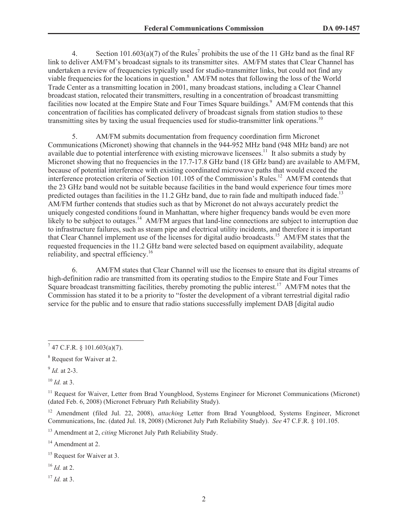4. Section 101.603(a)(7) of the Rules<sup>7</sup> prohibits the use of the 11 GHz band as the final RF link to deliver AM/FM's broadcast signals to its transmitter sites. AM/FM states that Clear Channel has undertaken a review of frequencies typically used for studio-transmitter links, but could not find any viable frequencies for the locations in question.<sup>8</sup> AM/FM notes that following the loss of the World Trade Center as a transmitting location in 2001, many broadcast stations, including a Clear Channel broadcast station, relocated their transmitters, resulting in a concentration of broadcast transmitting facilities now located at the Empire State and Four Times Square buildings.<sup>9</sup> AM/FM contends that this concentration of facilities has complicated delivery of broadcast signals from station studios to these transmitting sites by taxing the usual frequencies used for studio-transmitter link operations.<sup>10</sup>

5. AM/FM submits documentation from frequency coordination firm Micronet Communications (Micronet) showing that channels in the 944-952 MHz band (948 MHz band) are not available due to potential interference with existing microwave licensees.<sup>11</sup> It also submits a study by Micronet showing that no frequencies in the 17.7-17.8 GHz band (18 GHz band) are available to AM/FM, because of potential interference with existing coordinated microwave paths that would exceed the interference protection criteria of Section 101.105 of the Commission's Rules.<sup>12</sup> AM/FM contends that the 23 GHz band would not be suitable because facilities in the band would experience four times more predicted outages than facilities in the 11.2 GHz band, due to rain fade and multipath induced fade.<sup>13</sup> AM/FM further contends that studies such as that by Micronet do not always accurately predict the uniquely congested conditions found in Manhattan, where higher frequency bands would be even more likely to be subject to outages.<sup>14</sup> AM/FM argues that land-line connections are subject to interruption due to infrastructure failures, such as steam pipe and electrical utility incidents, and therefore it is important that Clear Channel implement use of the licenses for digital audio broadcasts.<sup>15</sup> AM/FM states that the requested frequencies in the 11.2 GHz band were selected based on equipment availability, adequate reliability, and spectral efficiency.<sup>16</sup>

6. AM/FM states that Clear Channel will use the licenses to ensure that its digital streams of high-definition radio are transmitted from its operating studios to the Empire State and Four Times Square broadcast transmitting facilities, thereby promoting the public interest.<sup>17</sup> AM/FM notes that the Commission has stated it to be a priority to "foster the development of a vibrant terrestrial digital radio service for the public and to ensure that radio stations successfully implement DAB [digital audio

 $^{10}$  *Id.* at 3.

<sup>14</sup> Amendment at 2.

<sup>16</sup> *Id.* at 2.

<sup>17</sup> *Id.* at 3.

 $7$  47 C.F.R. § 101.603(a)(7).

<sup>8</sup> Request for Waiver at 2.

<sup>9</sup> *Id.* at 2-3.

<sup>&</sup>lt;sup>11</sup> Request for Waiver, Letter from Brad Youngblood, Systems Engineer for Micronet Communications (Micronet) (dated Feb. 6, 2008) (Micronet February Path Reliability Study).

<sup>12</sup> Amendment (filed Jul. 22, 2008), *attaching* Letter from Brad Youngblood, Systems Engineer, Micronet Communications, Inc. (dated Jul. 18, 2008) (Micronet July Path Reliability Study). *See* 47 C.F.R. § 101.105.

<sup>13</sup> Amendment at 2, *citing* Micronet July Path Reliability Study.

<sup>&</sup>lt;sup>15</sup> Request for Waiver at 3.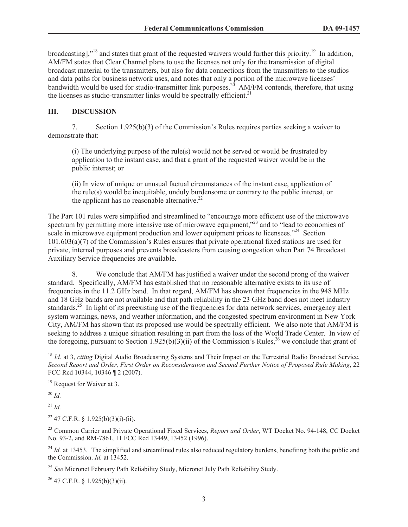broadcasting],"<sup>18</sup> and states that grant of the requested waivers would further this priority.<sup>19</sup> In addition, AM/FM states that Clear Channel plans to use the licenses not only for the transmission of digital broadcast material to the transmitters, but also for data connections from the transmitters to the studios and data paths for business network uses, and notes that only a portion of the microwave licenses' bandwidth would be used for studio-transmitter link purposes.<sup>20</sup> AM/FM contends, therefore, that using the licenses as studio-transmitter links would be spectrally efficient.<sup>21</sup>

### **III. DISCUSSION**

7. Section 1.925(b)(3) of the Commission's Rules requires parties seeking a waiver to demonstrate that:

(i) The underlying purpose of the rule(s) would not be served or would be frustrated by application to the instant case, and that a grant of the requested waiver would be in the public interest; or

(ii) In view of unique or unusual factual circumstances of the instant case, application of the rule(s) would be inequitable, unduly burdensome or contrary to the public interest, or the applicant has no reasonable alternative.<sup>22</sup>

The Part 101 rules were simplified and streamlined to "encourage more efficient use of the microwave spectrum by permitting more intensive use of microwave equipment,<sup>"23</sup> and to "lead to economies of scale in microwave equipment production and lower equipment prices to licensees."<sup>24</sup> Section 101.603(a)(7) of the Commission's Rules ensures that private operational fixed stations are used for private, internal purposes and prevents broadcasters from causing congestion when Part 74 Broadcast Auxiliary Service frequencies are available.

8. We conclude that AM/FM has justified a waiver under the second prong of the waiver standard. Specifically, AM/FM has established that no reasonable alternative exists to its use of frequencies in the 11.2 GHz band. In that regard, AM/FM has shown that frequencies in the 948 MHz and 18 GHz bands are not available and that path reliability in the 23 GHz band does not meet industry standards.<sup>25</sup> In light of its preexisting use of the frequencies for data network services, emergency alert system warnings, news, and weather information, and the congested spectrum environment in New York City, AM/FM has shown that its proposed use would be spectrally efficient. We also note that AM/FM is seeking to address a unique situation resulting in part from the loss of the World Trade Center. In view of the foregoing, pursuant to Section 1.925(b)(3)(ii) of the Commission's Rules,<sup>26</sup> we conclude that grant of

<sup>20</sup> *Id.*

<sup>21</sup> *Id.*

 $22$  47 C.F.R. § 1.925(b)(3)(i)-(ii).

<sup>23</sup> Common Carrier and Private Operational Fixed Services, *Report and Order*, WT Docket No. 94-148, CC Docket No. 93-2, and RM-7861, 11 FCC Rcd 13449, 13452 (1996).

<sup>24</sup> *Id.* at 13453. The simplified and streamlined rules also reduced regulatory burdens, benefiting both the public and the Commission. *Id.* at 13452.

<sup>25</sup> *See* Micronet February Path Reliability Study, Micronet July Path Reliability Study.

 $26$  47 C.F.R. § 1.925(b)(3)(ii).

<sup>&</sup>lt;sup>18</sup> *Id.* at 3, *citing* Digital Audio Broadcasting Systems and Their Impact on the Terrestrial Radio Broadcast Service, *Second Report and Order, First Order on Reconsideration and Second Further Notice of Proposed Rule Making*, 22 FCC Rcd 10344, 10346 ¶ 2 (2007).

<sup>&</sup>lt;sup>19</sup> Request for Waiver at 3.